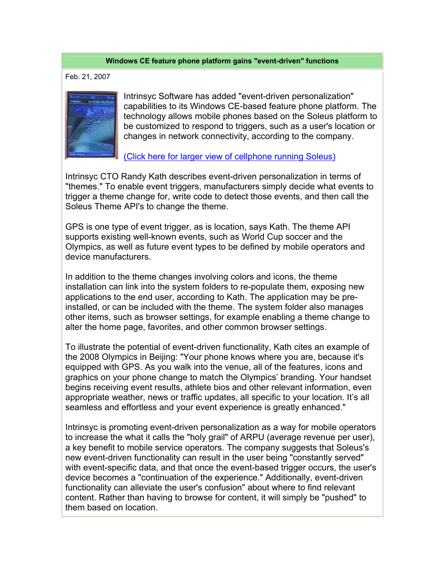## **Windows CE feature phone platform gains "event-driven" functions**

Feb. 21, 2007



Intrinsyc Software has added "event-driven personalization" capabilities to its Windows CE-based feature phone platform. The technology allows mobile phones based on the Soleus platform to be customized to respond to triggers, such as a user's location or changes in network connectivity, according to the company.

(Click here for larger view of cellphone running Soleus)

Intrinsyc CTO Randy Kath describes event-driven personalization in terms of "themes." To enable event triggers, manufacturers simply decide what events to trigger a theme change for, write code to detect those events, and then call the Soleus Theme API's to change the theme.

GPS is one type of event trigger, as is location, says Kath. The theme API supports existing well-known events, such as World Cup soccer and the Olympics, as well as future event types to be defined by mobile operators and device manufacturers.

In addition to the theme changes involving colors and icons, the theme installation can link into the system folders to re-populate them, exposing new applications to the end user, according to Kath. The application may be preinstalled, or can be included with the theme. The system folder also manages other items, such as browser settings, for example enabling a theme change to alter the home page, favorites, and other common browser settings.

To illustrate the potential of event-driven functionality, Kath cites an example of the 2008 Olympics in Beijing: "Your phone knows where you are, because it's equipped with GPS. As you walk into the venue, all of the features, icons and graphics on your phone change to match the Olympics' branding. Your handset begins receiving event results, athlete bios and other relevant information, even appropriate weather, news or traffic updates, all specific to your location. It's all seamless and effortless and your event experience is greatly enhanced."

Intrinsyc is promoting event-driven personalization as a way for mobile operators to increase the what it calls the "holy grail" of ARPU (average revenue per user), a key benefit to mobile service operators. The company suggests that Soleus's new event-driven functionality can result in the user being "constantly served" with event-specific data, and that once the event-based trigger occurs, the user's device becomes a "continuation of the experience." Additionally, event-driven functionality can alleviate the user's confusion" about where to find relevant content. Rather than having to browse for content, it will simply be "pushed" to them based on location.